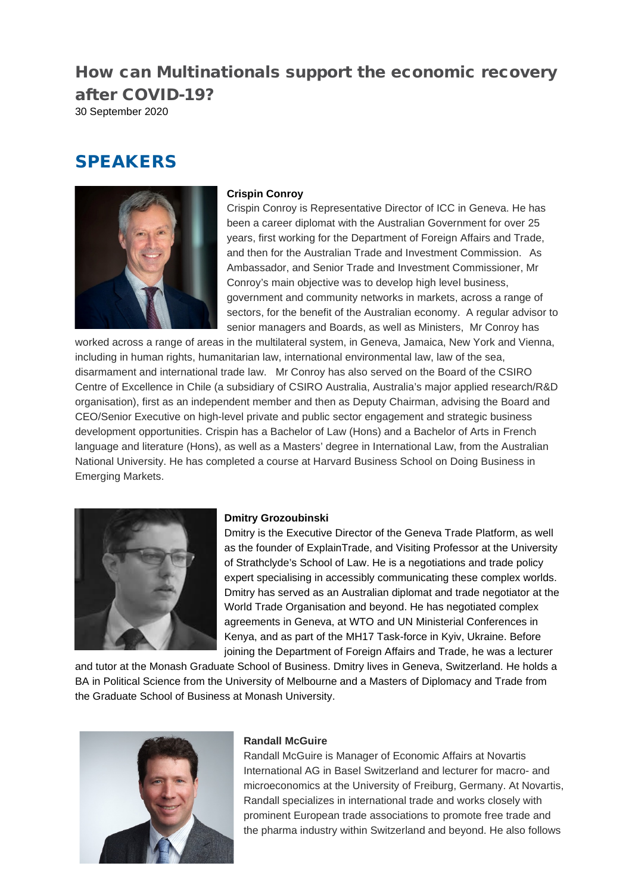# How can Multinationals support the economic recovery after COVID-19?

30 September 2020

# **SPEAKERS**



# **Crispin Conroy**

Crispin Conroy is Representative Director of ICC in Geneva. He has been a career diplomat with the Australian Government for over 25 years, first working for the Department of Foreign Affairs and Trade, and then for the Australian Trade and Investment Commission. As Ambassador, and Senior Trade and Investment Commissioner, Mr Conroy's main objective was to develop high level business, government and community networks in markets, across a range of sectors, for the benefit of the Australian economy. A regular advisor to senior managers and Boards, as well as Ministers, Mr Conroy has

worked across a range of areas in the multilateral system, in Geneva, Jamaica, New York and Vienna, including in human rights, humanitarian law, international environmental law, law of the sea, disarmament and international trade law. Mr Conroy has also served on the Board of the CSIRO Centre of Excellence in Chile (a subsidiary of CSIRO Australia, Australia's major applied research/R&D organisation), first as an independent member and then as Deputy Chairman, advising the Board and CEO/Senior Executive on high-level private and public sector engagement and strategic business development opportunities. Crispin has a Bachelor of Law (Hons) and a Bachelor of Arts in French language and literature (Hons), as well as a Masters' degree in International Law, from the Australian National University. He has completed a course at Harvard Business School on Doing Business in Emerging Markets.



## **Dmitry Grozoubinski**

Dmitry is the Executive Director of the Geneva Trade Platform, as well as the founder of ExplainTrade, and Visiting Professor at the University of Strathclyde's School of Law. He is a negotiations and trade policy expert specialising in accessibly communicating these complex worlds. Dmitry has served as an Australian diplomat and trade negotiator at the World Trade Organisation and beyond. He has negotiated complex agreements in Geneva, at WTO and UN Ministerial Conferences in Kenya, and as part of the MH17 Task-force in Kyiv, Ukraine. Before joining the Department of Foreign Affairs and Trade, he was a lecturer

and tutor at the Monash Graduate School of Business. Dmitry lives in Geneva, Switzerland. He holds a BA in Political Science from the University of Melbourne and a Masters of Diplomacy and Trade from the Graduate School of Business at Monash University.



#### **Randall McGuire**

Randall McGuire is Manager of Economic Affairs at Novartis International AG in Basel Switzerland and lecturer for macro- and microeconomics at the University of Freiburg, Germany. At Novartis, Randall specializes in international trade and works closely with prominent European trade associations to promote free trade and the pharma industry within Switzerland and beyond. He also follows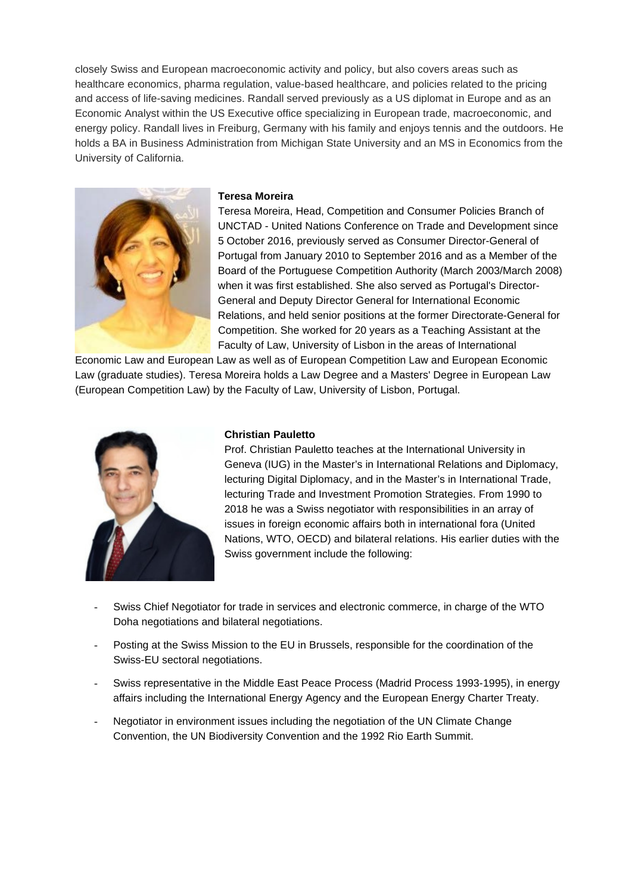closely Swiss and European macroeconomic activity and policy, but also covers areas such as healthcare economics, pharma regulation, value-based healthcare, and policies related to the pricing and access of life-saving medicines. Randall served previously as a US diplomat in Europe and as an Economic Analyst within the US Executive office specializing in European trade, macroeconomic, and energy policy. Randall lives in Freiburg, Germany with his family and enjoys tennis and the outdoors. He holds a BA in Business Administration from Michigan State University and an MS in Economics from the University of California.



#### **Teresa Moreira**

Teresa Moreira, Head, Competition and Consumer Policies Branch of UNCTAD - United Nations Conference on Trade and Development since 5 October 2016, previously served as Consumer Director-General of Portugal from January 2010 to September 2016 and as a Member of the Board of the Portuguese Competition Authority (March 2003/March 2008) when it was first established. She also served as Portugal's Director-General and Deputy Director General for International Economic Relations, and held senior positions at the former Directorate-General for Competition. She worked for 20 years as a Teaching Assistant at the Faculty of Law, University of Lisbon in the areas of International

Economic Law and European Law as well as of European Competition Law and European Economic Law (graduate studies). Teresa Moreira holds a Law Degree and a Masters' Degree in European Law (European Competition Law) by the Faculty of Law, University of Lisbon, Portugal.



# **Christian Pauletto**

Prof. Christian Pauletto teaches at the International University in Geneva (IUG) in the Master's in International Relations and Diplomacy, lecturing Digital Diplomacy, and in the Master's in International Trade, lecturing Trade and Investment Promotion Strategies. From 1990 to 2018 he was a Swiss negotiator with responsibilities in an array of issues in foreign economic affairs both in international fora (United Nations, WTO, OECD) and bilateral relations. His earlier duties with the Swiss government include the following:

- Swiss Chief Negotiator for trade in services and electronic commerce, in charge of the WTO Doha negotiations and bilateral negotiations.
- Posting at the Swiss Mission to the EU in Brussels, responsible for the coordination of the Swiss-EU sectoral negotiations.
- Swiss representative in the Middle East Peace Process (Madrid Process 1993-1995), in energy affairs including the International Energy Agency and the European Energy Charter Treaty.
- Negotiator in environment issues including the negotiation of the UN Climate Change Convention, the UN Biodiversity Convention and the 1992 Rio Earth Summit.